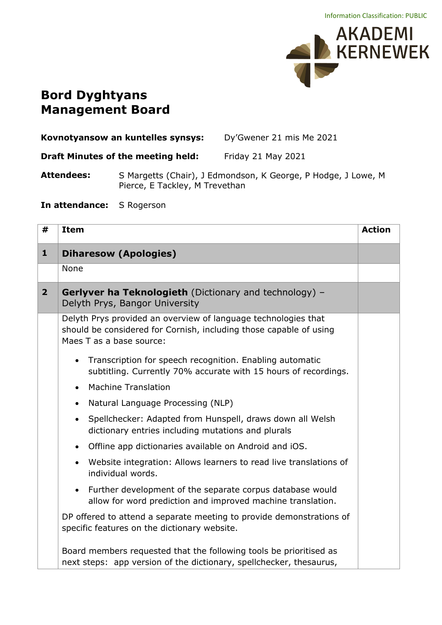

## **Bord Dyghtyans Management Board**

| Kovnotyansow an kuntelles synsys: | Dy'Gwener 21 mis Me 2021 |
|-----------------------------------|--------------------------|
|                                   |                          |

**Draft Minutes of the meeting held:** Friday 21 May 2021

**Attendees:** S Margetts (Chair), J Edmondson, K George, P Hodge, J Lowe, M Pierce, E Tackley, M Trevethan

**In attendance:** S Rogerson

| #              | <b>Item</b>                                                                                                                                                      | <b>Action</b> |
|----------------|------------------------------------------------------------------------------------------------------------------------------------------------------------------|---------------|
| $\mathbf{1}$   | <b>Diharesow (Apologies)</b>                                                                                                                                     |               |
|                | None                                                                                                                                                             |               |
| $\overline{2}$ | <b>Gerlyver ha Teknologieth</b> (Dictionary and technology) -<br>Delyth Prys, Bangor University                                                                  |               |
|                | Delyth Prys provided an overview of language technologies that<br>should be considered for Cornish, including those capable of using<br>Maes T as a base source: |               |
|                | Transcription for speech recognition. Enabling automatic<br>$\bullet$<br>subtitling. Currently 70% accurate with 15 hours of recordings.                         |               |
|                | <b>Machine Translation</b><br>$\bullet$                                                                                                                          |               |
|                | Natural Language Processing (NLP)<br>$\bullet$                                                                                                                   |               |
|                | Spellchecker: Adapted from Hunspell, draws down all Welsh<br>$\bullet$<br>dictionary entries including mutations and plurals                                     |               |
|                | Offline app dictionaries available on Android and iOS.<br>$\bullet$                                                                                              |               |
|                | Website integration: Allows learners to read live translations of<br>$\bullet$<br>individual words.                                                              |               |
|                | Further development of the separate corpus database would<br>$\bullet$<br>allow for word prediction and improved machine translation.                            |               |
|                | DP offered to attend a separate meeting to provide demonstrations of<br>specific features on the dictionary website.                                             |               |
|                | Board members requested that the following tools be prioritised as<br>next steps: app version of the dictionary, spellchecker, thesaurus,                        |               |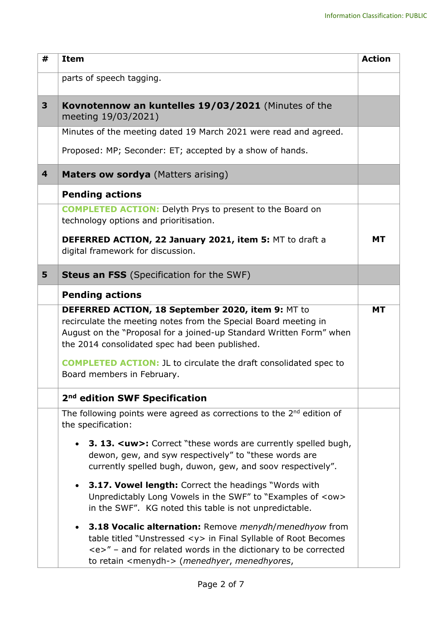| #                       | <b>Item</b>                                                                                                                                                                                                                                                                                                                                                                                                                                                                                                                                                                                                                                                                                                                                                                                   | <b>Action</b> |
|-------------------------|-----------------------------------------------------------------------------------------------------------------------------------------------------------------------------------------------------------------------------------------------------------------------------------------------------------------------------------------------------------------------------------------------------------------------------------------------------------------------------------------------------------------------------------------------------------------------------------------------------------------------------------------------------------------------------------------------------------------------------------------------------------------------------------------------|---------------|
|                         | parts of speech tagging.                                                                                                                                                                                                                                                                                                                                                                                                                                                                                                                                                                                                                                                                                                                                                                      |               |
| 3                       | Kovnotennow an kuntelles 19/03/2021 (Minutes of the<br>meeting 19/03/2021)                                                                                                                                                                                                                                                                                                                                                                                                                                                                                                                                                                                                                                                                                                                    |               |
|                         | Minutes of the meeting dated 19 March 2021 were read and agreed.                                                                                                                                                                                                                                                                                                                                                                                                                                                                                                                                                                                                                                                                                                                              |               |
|                         | Proposed: MP; Seconder: ET; accepted by a show of hands.                                                                                                                                                                                                                                                                                                                                                                                                                                                                                                                                                                                                                                                                                                                                      |               |
| $\overline{\mathbf{4}}$ | <b>Maters ow sordya</b> (Matters arising)                                                                                                                                                                                                                                                                                                                                                                                                                                                                                                                                                                                                                                                                                                                                                     |               |
|                         | <b>Pending actions</b>                                                                                                                                                                                                                                                                                                                                                                                                                                                                                                                                                                                                                                                                                                                                                                        |               |
|                         | <b>COMPLETED ACTION:</b> Delyth Prys to present to the Board on<br>technology options and prioritisation.                                                                                                                                                                                                                                                                                                                                                                                                                                                                                                                                                                                                                                                                                     |               |
|                         | DEFERRED ACTION, 22 January 2021, item 5: MT to draft a<br>digital framework for discussion.                                                                                                                                                                                                                                                                                                                                                                                                                                                                                                                                                                                                                                                                                                  | <b>MT</b>     |
| 5                       | <b>Steus an FSS</b> (Specification for the SWF)                                                                                                                                                                                                                                                                                                                                                                                                                                                                                                                                                                                                                                                                                                                                               |               |
|                         | <b>Pending actions</b><br>DEFERRED ACTION, 18 September 2020, item 9: MT to<br>recirculate the meeting notes from the Special Board meeting in<br>August on the "Proposal for a joined-up Standard Written Form" when<br>the 2014 consolidated spec had been published.<br><b>COMPLETED ACTION: JL to circulate the draft consolidated spec to</b><br>Board members in February.                                                                                                                                                                                                                                                                                                                                                                                                              | <b>MT</b>     |
|                         | 2 <sup>nd</sup> edition SWF Specification                                                                                                                                                                                                                                                                                                                                                                                                                                                                                                                                                                                                                                                                                                                                                     |               |
|                         | The following points were agreed as corrections to the $2^{nd}$ edition of<br>the specification:<br><b>3. 13. <uw>:</uw></b> Correct "these words are currently spelled bugh,<br>dewon, gew, and syw respectively" to "these words are<br>currently spelled bugh, duwon, gew, and soov respectively".<br><b>3.17. Vowel length:</b> Correct the headings "Words with<br>Unpredictably Long Vowels in the SWF" to "Examples of <ow><br/>in the SWF". KG noted this table is not unpredictable.<br/>3.18 Vocalic alternation: Remove menydh/menedhyow from<br/>table titled "Unstressed <y> in Final Syllable of Root Becomes<br/><math>\langle e \rangle</math>" – and for related words in the dictionary to be corrected<br/>to retain <menydh-> (menedhyer, menedhyores,</menydh-></y></ow> |               |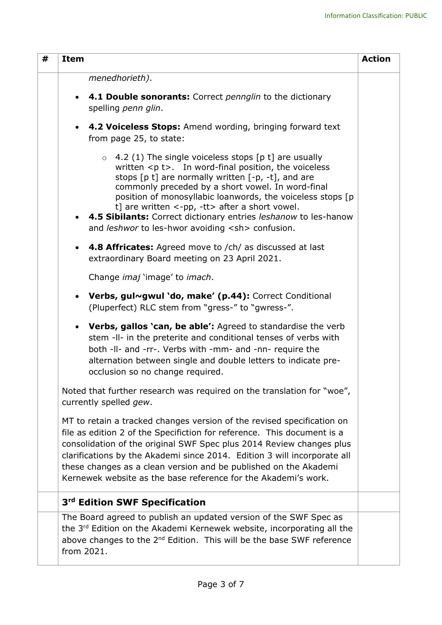| # | <b>Item</b>                                                                                                                                                                                                                                                                                                                                                                                                                                                                                                                          | <b>Action</b> |
|---|--------------------------------------------------------------------------------------------------------------------------------------------------------------------------------------------------------------------------------------------------------------------------------------------------------------------------------------------------------------------------------------------------------------------------------------------------------------------------------------------------------------------------------------|---------------|
|   | menedhorieth).                                                                                                                                                                                                                                                                                                                                                                                                                                                                                                                       |               |
|   | 4.1 Double sonorants: Correct pennglin to the dictionary<br>$\bullet$<br>spelling penn glin.                                                                                                                                                                                                                                                                                                                                                                                                                                         |               |
|   | <b>4.2 Voiceless Stops:</b> Amend wording, bringing forward text<br>$\bullet$<br>from page 25, to state:                                                                                                                                                                                                                                                                                                                                                                                                                             |               |
|   | 4.2 (1) The single voiceless stops [p t] are usually<br>$\circ$<br>written $\langle p \rangle$ t>. In word-final position, the voiceless<br>stops $[p t]$ are normally written $[-p, -t]$ , and are<br>commonly preceded by a short vowel. In word-final<br>position of monosyllabic loanwords, the voiceless stops [p]<br>t] are written $\langle$ -pp, -tt $\rangle$ after a short vowel.<br>4.5 Sibilants: Correct dictionary entries leshanow to les-hanow<br>$\bullet$<br>and leshwor to les-hwor avoiding <sh> confusion.</sh> |               |
|   | 4.8 Affricates: Agreed move to /ch/ as discussed at last<br>$\bullet$<br>extraordinary Board meeting on 23 April 2021.                                                                                                                                                                                                                                                                                                                                                                                                               |               |
|   | Change <i>imaj</i> 'image' to <i>imach</i> .                                                                                                                                                                                                                                                                                                                                                                                                                                                                                         |               |
|   | Verbs, gul~gwul 'do, make' (p.44): Correct Conditional<br>$\bullet$<br>(Pluperfect) RLC stem from "gress-" to "gwress-".                                                                                                                                                                                                                                                                                                                                                                                                             |               |
|   | <b>Verbs, gallos 'can, be able':</b> Agreed to standardise the verb<br>$\bullet$<br>stem -II- in the preterite and conditional tenses of verbs with<br>both -II- and -rr-. Verbs with -mm- and -nn- require the<br>alternation between single and double letters to indicate pre-<br>occlusion so no change required.                                                                                                                                                                                                                |               |
|   | Noted that further research was required on the translation for "woe",<br>currently spelled gew.                                                                                                                                                                                                                                                                                                                                                                                                                                     |               |
|   | MT to retain a tracked changes version of the revised specification on<br>file as edition 2 of the Specifiction for reference. This document is a<br>consolidation of the original SWF Spec plus 2014 Review changes plus<br>clarifications by the Akademi since 2014. Edition 3 will incorporate all<br>these changes as a clean version and be published on the Akademi<br>Kernewek website as the base reference for the Akademi's work.                                                                                          |               |
|   | 3 <sup>rd</sup> Edition SWF Specification                                                                                                                                                                                                                                                                                                                                                                                                                                                                                            |               |
|   | The Board agreed to publish an updated version of the SWF Spec as<br>the 3 <sup>rd</sup> Edition on the Akademi Kernewek website, incorporating all the<br>above changes to the 2 <sup>nd</sup> Edition. This will be the base SWF reference<br>from 2021.                                                                                                                                                                                                                                                                           |               |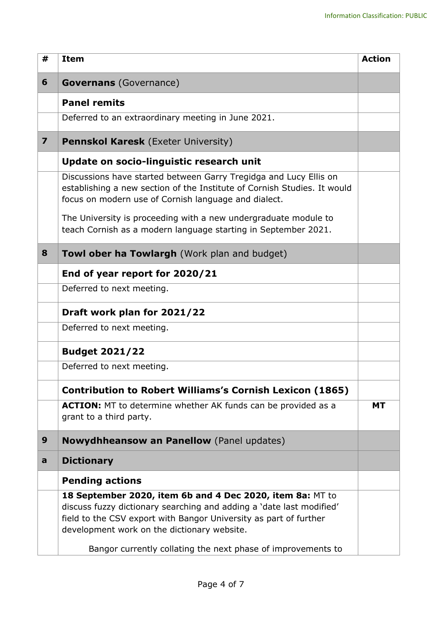| #                       | <b>Item</b>                                                                                                                                                                                                                                           | <b>Action</b> |
|-------------------------|-------------------------------------------------------------------------------------------------------------------------------------------------------------------------------------------------------------------------------------------------------|---------------|
| 6                       | <b>Governans</b> (Governance)                                                                                                                                                                                                                         |               |
|                         | <b>Panel remits</b>                                                                                                                                                                                                                                   |               |
|                         | Deferred to an extraordinary meeting in June 2021.                                                                                                                                                                                                    |               |
| $\overline{\mathbf{z}}$ | <b>Pennskol Karesk (Exeter University)</b>                                                                                                                                                                                                            |               |
|                         | Update on socio-linguistic research unit                                                                                                                                                                                                              |               |
|                         | Discussions have started between Garry Tregidga and Lucy Ellis on<br>establishing a new section of the Institute of Cornish Studies. It would<br>focus on modern use of Cornish language and dialect.                                                 |               |
|                         | The University is proceeding with a new undergraduate module to<br>teach Cornish as a modern language starting in September 2021.                                                                                                                     |               |
| 8                       | <b>Towl ober ha Towlargh</b> (Work plan and budget)                                                                                                                                                                                                   |               |
|                         | End of year report for 2020/21                                                                                                                                                                                                                        |               |
|                         | Deferred to next meeting.                                                                                                                                                                                                                             |               |
|                         | Draft work plan for 2021/22                                                                                                                                                                                                                           |               |
|                         | Deferred to next meeting.                                                                                                                                                                                                                             |               |
|                         | <b>Budget 2021/22</b>                                                                                                                                                                                                                                 |               |
|                         | Deferred to next meeting.                                                                                                                                                                                                                             |               |
|                         | <b>Contribution to Robert Williams's Cornish Lexicon (1865)</b>                                                                                                                                                                                       |               |
|                         | ACTION: MT to determine whether AK funds can be provided as a<br>grant to a third party.                                                                                                                                                              | <b>MT</b>     |
| 9                       | <b>Nowydhheansow an Panellow</b> (Panel updates)                                                                                                                                                                                                      |               |
| a                       | <b>Dictionary</b>                                                                                                                                                                                                                                     |               |
|                         | <b>Pending actions</b>                                                                                                                                                                                                                                |               |
|                         | 18 September 2020, item 6b and 4 Dec 2020, item 8a: MT to<br>discuss fuzzy dictionary searching and adding a 'date last modified'<br>field to the CSV export with Bangor University as part of further<br>development work on the dictionary website. |               |
|                         | Bangor currently collating the next phase of improvements to                                                                                                                                                                                          |               |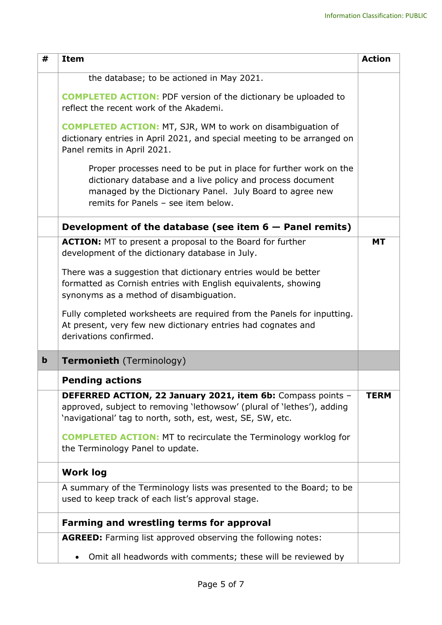| #           | <b>Item</b>                                                                                                                                                                                                                       | <b>Action</b> |
|-------------|-----------------------------------------------------------------------------------------------------------------------------------------------------------------------------------------------------------------------------------|---------------|
|             | the database; to be actioned in May 2021.                                                                                                                                                                                         |               |
|             | <b>COMPLETED ACTION:</b> PDF version of the dictionary be uploaded to<br>reflect the recent work of the Akademi.                                                                                                                  |               |
|             | <b>COMPLETED ACTION: MT, SJR, WM to work on disambiguation of</b><br>dictionary entries in April 2021, and special meeting to be arranged on<br>Panel remits in April 2021.                                                       |               |
|             | Proper processes need to be put in place for further work on the<br>dictionary database and a live policy and process document<br>managed by the Dictionary Panel. July Board to agree new<br>remits for Panels - see item below. |               |
|             | Development of the database (see item $6 -$ Panel remits)                                                                                                                                                                         |               |
|             | <b>ACTION:</b> MT to present a proposal to the Board for further<br>development of the dictionary database in July.                                                                                                               | <b>MT</b>     |
|             | There was a suggestion that dictionary entries would be better<br>formatted as Cornish entries with English equivalents, showing<br>synonyms as a method of disambiguation.                                                       |               |
|             | Fully completed worksheets are required from the Panels for inputting.<br>At present, very few new dictionary entries had cognates and<br>derivations confirmed.                                                                  |               |
| $\mathbf b$ | <b>Termonieth</b> (Terminology)                                                                                                                                                                                                   |               |
|             | <b>Pending actions</b>                                                                                                                                                                                                            |               |
|             | DEFERRED ACTION, 22 January 2021, item 6b: Compass points -<br>approved, subject to removing 'lethowsow' (plural of 'lethes'), adding<br>'navigational' tag to north, soth, est, west, SE, SW, etc.                               | <b>TERM</b>   |
|             | <b>COMPLETED ACTION:</b> MT to recirculate the Terminology worklog for<br>the Terminology Panel to update.                                                                                                                        |               |
|             | <b>Work log</b>                                                                                                                                                                                                                   |               |
|             | A summary of the Terminology lists was presented to the Board; to be<br>used to keep track of each list's approval stage.                                                                                                         |               |
|             | <b>Farming and wrestling terms for approval</b>                                                                                                                                                                                   |               |
|             | <b>AGREED:</b> Farming list approved observing the following notes:                                                                                                                                                               |               |
|             | Omit all headwords with comments; these will be reviewed by<br>$\bullet$                                                                                                                                                          |               |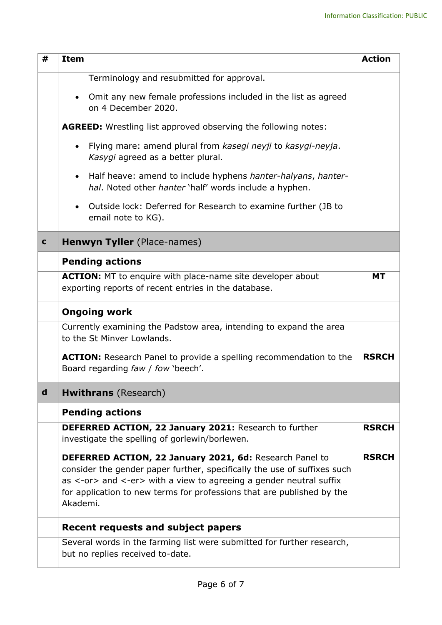| #           | <b>Item</b>                                                                                                                                                                                                                                                                                     | <b>Action</b> |
|-------------|-------------------------------------------------------------------------------------------------------------------------------------------------------------------------------------------------------------------------------------------------------------------------------------------------|---------------|
|             | Terminology and resubmitted for approval.                                                                                                                                                                                                                                                       |               |
|             | Omit any new female professions included in the list as agreed<br>on 4 December 2020.                                                                                                                                                                                                           |               |
|             | <b>AGREED:</b> Wrestling list approved observing the following notes:                                                                                                                                                                                                                           |               |
|             | Flying mare: amend plural from kasegi neyji to kasygi-neyja.<br>Kasygi agreed as a better plural.                                                                                                                                                                                               |               |
|             | Half heave: amend to include hyphens hanter-halyans, hanter-<br>$\bullet$<br>hal. Noted other hanter 'half' words include a hyphen.                                                                                                                                                             |               |
|             | Outside lock: Deferred for Research to examine further (JB to<br>$\bullet$<br>email note to KG).                                                                                                                                                                                                |               |
| $\mathbf c$ | <b>Henwyn Tyller</b> (Place-names)                                                                                                                                                                                                                                                              |               |
|             | <b>Pending actions</b>                                                                                                                                                                                                                                                                          |               |
|             | <b>ACTION:</b> MT to enquire with place-name site developer about<br>exporting reports of recent entries in the database.                                                                                                                                                                       | <b>MT</b>     |
|             | <b>Ongoing work</b>                                                                                                                                                                                                                                                                             |               |
|             | Currently examining the Padstow area, intending to expand the area<br>to the St Minver Lowlands.                                                                                                                                                                                                |               |
|             | <b>ACTION:</b> Research Panel to provide a spelling recommendation to the<br>Board regarding faw / fow 'beech'.                                                                                                                                                                                 | <b>RSRCH</b>  |
| $\mathbf d$ | <b>Hwithrans</b> (Research)                                                                                                                                                                                                                                                                     |               |
|             | <b>Pending actions</b>                                                                                                                                                                                                                                                                          |               |
|             | <b>DEFERRED ACTION, 22 January 2021: Research to further</b><br>investigate the spelling of gorlewin/borlewen.                                                                                                                                                                                  | <b>RSRCH</b>  |
|             | DEFERRED ACTION, 22 January 2021, 6d: Research Panel to<br>consider the gender paper further, specifically the use of suffixes such<br>as <-or> and <-er> with a view to agreeing a gender neutral suffix<br>for application to new terms for professions that are published by the<br>Akademi. | <b>RSRCH</b>  |
|             | <b>Recent requests and subject papers</b>                                                                                                                                                                                                                                                       |               |
|             | Several words in the farming list were submitted for further research,<br>but no replies received to-date.                                                                                                                                                                                      |               |